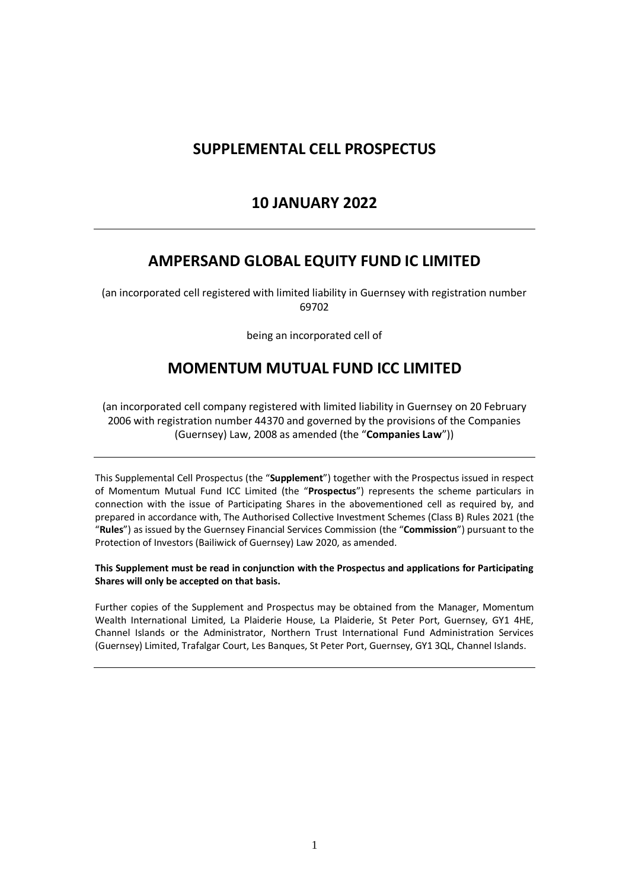# **SUPPLEMENTAL CELL PROSPECTUS**

# **10 JANUARY 2022**

## **AMPERSAND GLOBAL EQUITY FUND IC LIMITED**

(an incorporated cell registered with limited liability in Guernsey with registration number 69702

being an incorporated cell of

## **MOMENTUM MUTUAL FUND ICC LIMITED**

(an incorporated cell company registered with limited liability in Guernsey on 20 February 2006 with registration number 44370 and governed by the provisions of the Companies (Guernsey) Law, 2008 as amended (the "**Companies Law**"))

This Supplemental Cell Prospectus (the "**Supplement**") together with the Prospectus issued in respect of Momentum Mutual Fund ICC Limited (the "**Prospectus**") represents the scheme particulars in connection with the issue of Participating Shares in the abovementioned cell as required by, and prepared in accordance with, The Authorised Collective Investment Schemes (Class B) Rules 2021 (the "**Rules**") as issued by the Guernsey Financial Services Commission (the "**Commission**") pursuant to the Protection of Investors (Bailiwick of Guernsey) Law 2020, as amended.

#### **This Supplement must be read in conjunction with the Prospectus and applications for Participating Shares will only be accepted on that basis.**

Further copies of the Supplement and Prospectus may be obtained from the Manager, Momentum Wealth International Limited, La Plaiderie House, La Plaiderie, St Peter Port, Guernsey, GY1 4HE, Channel Islands or the Administrator, Northern Trust International Fund Administration Services (Guernsey) Limited, Trafalgar Court, Les Banques, St Peter Port, Guernsey, GY1 3QL, Channel Islands.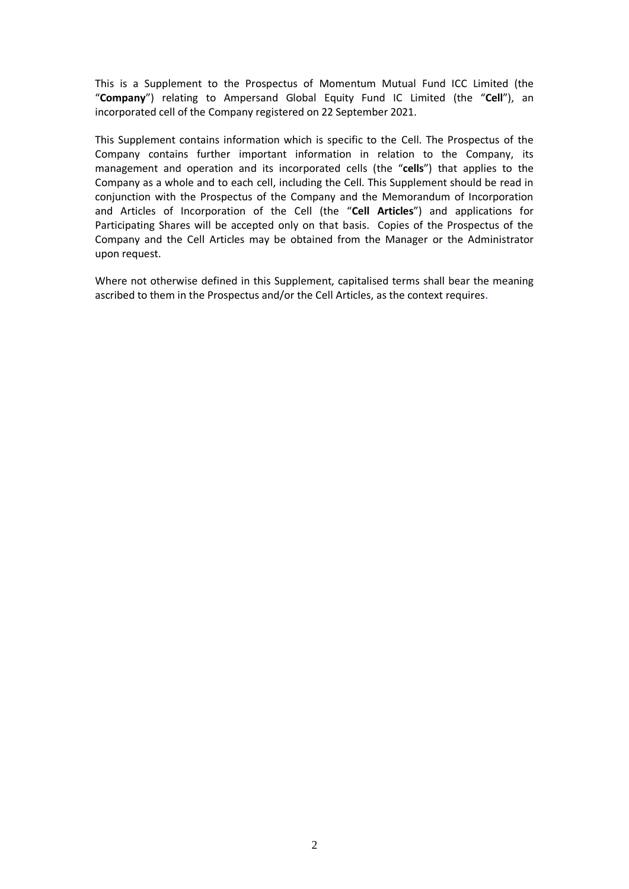This is a Supplement to the Prospectus of Momentum Mutual Fund ICC Limited (the "**Company**") relating to Ampersand Global Equity Fund IC Limited (the "**Cell**"), an incorporated cell of the Company registered on 22 September 2021.

This Supplement contains information which is specific to the Cell. The Prospectus of the Company contains further important information in relation to the Company, its management and operation and its incorporated cells (the "**cells**") that applies to the Company as a whole and to each cell, including the Cell. This Supplement should be read in conjunction with the Prospectus of the Company and the Memorandum of Incorporation and Articles of Incorporation of the Cell (the "**Cell Articles**") and applications for Participating Shares will be accepted only on that basis. Copies of the Prospectus of the Company and the Cell Articles may be obtained from the Manager or the Administrator upon request.

Where not otherwise defined in this Supplement, capitalised terms shall bear the meaning ascribed to them in the Prospectus and/or the Cell Articles, as the context requires.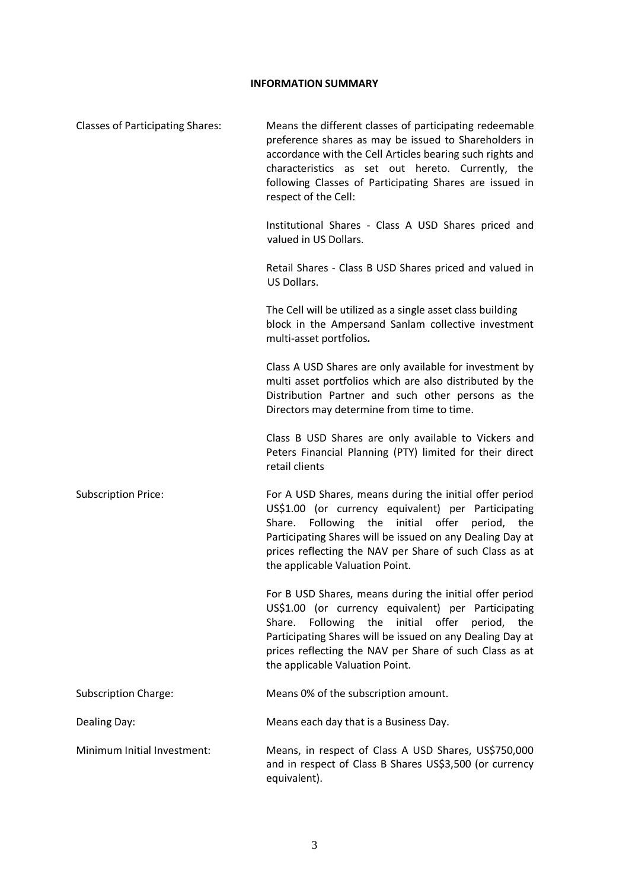### **INFORMATION SUMMARY**

| <b>Classes of Participating Shares:</b> | Means the different classes of participating redeemable<br>preference shares as may be issued to Shareholders in<br>accordance with the Cell Articles bearing such rights and<br>characteristics as set out hereto. Currently, the<br>following Classes of Participating Shares are issued in<br>respect of the Cell:             |
|-----------------------------------------|-----------------------------------------------------------------------------------------------------------------------------------------------------------------------------------------------------------------------------------------------------------------------------------------------------------------------------------|
|                                         | Institutional Shares - Class A USD Shares priced and<br>valued in US Dollars.                                                                                                                                                                                                                                                     |
|                                         | Retail Shares - Class B USD Shares priced and valued in<br>US Dollars.                                                                                                                                                                                                                                                            |
|                                         | The Cell will be utilized as a single asset class building<br>block in the Ampersand Sanlam collective investment<br>multi-asset portfolios.                                                                                                                                                                                      |
|                                         | Class A USD Shares are only available for investment by<br>multi asset portfolios which are also distributed by the<br>Distribution Partner and such other persons as the<br>Directors may determine from time to time.                                                                                                           |
|                                         | Class B USD Shares are only available to Vickers and<br>Peters Financial Planning (PTY) limited for their direct<br>retail clients                                                                                                                                                                                                |
| <b>Subscription Price:</b>              | For A USD Shares, means during the initial offer period<br>US\$1.00 (or currency equivalent) per Participating<br>Following the initial offer<br>Share.<br>period, the<br>Participating Shares will be issued on any Dealing Day at<br>prices reflecting the NAV per Share of such Class as at<br>the applicable Valuation Point. |
|                                         | For B USD Shares, means during the initial offer period<br>US\$1.00 (or currency equivalent) per Participating<br>Following the initial offer<br>Share.<br>period, the<br>Participating Shares will be issued on any Dealing Day at<br>prices reflecting the NAV per Share of such Class as at<br>the applicable Valuation Point. |
| <b>Subscription Charge:</b>             | Means 0% of the subscription amount.                                                                                                                                                                                                                                                                                              |
| Dealing Day:                            | Means each day that is a Business Day.                                                                                                                                                                                                                                                                                            |
| Minimum Initial Investment:             | Means, in respect of Class A USD Shares, US\$750,000<br>and in respect of Class B Shares US\$3,500 (or currency<br>equivalent).                                                                                                                                                                                                   |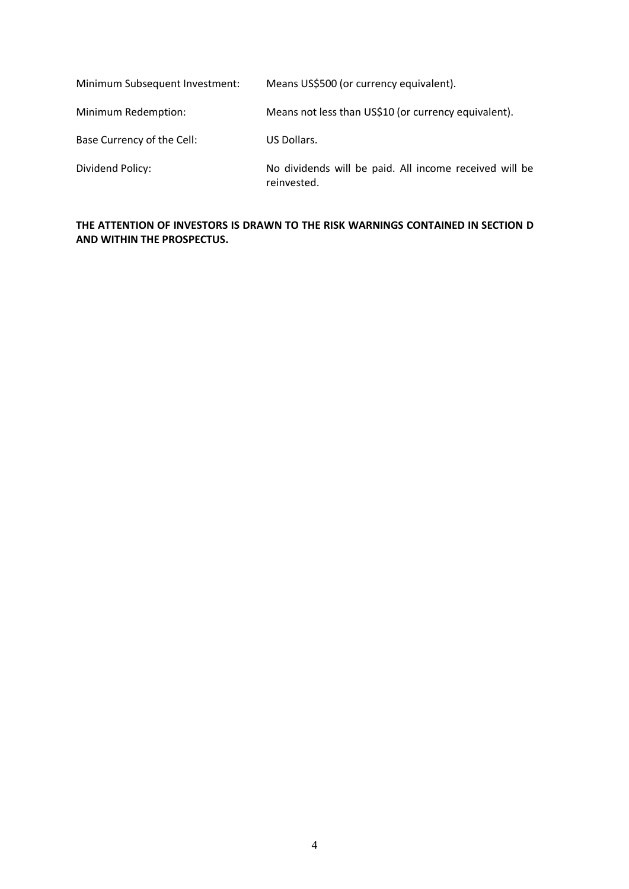| Minimum Subsequent Investment: | Means US\$500 (or currency equivalent).                               |
|--------------------------------|-----------------------------------------------------------------------|
| Minimum Redemption:            | Means not less than US\$10 (or currency equivalent).                  |
| Base Currency of the Cell:     | US Dollars.                                                           |
| Dividend Policy:               | No dividends will be paid. All income received will be<br>reinvested. |

## **THE ATTENTION OF INVESTORS IS DRAWN TO THE RISK WARNINGS CONTAINED IN SECTION D AND WITHIN THE PROSPECTUS.**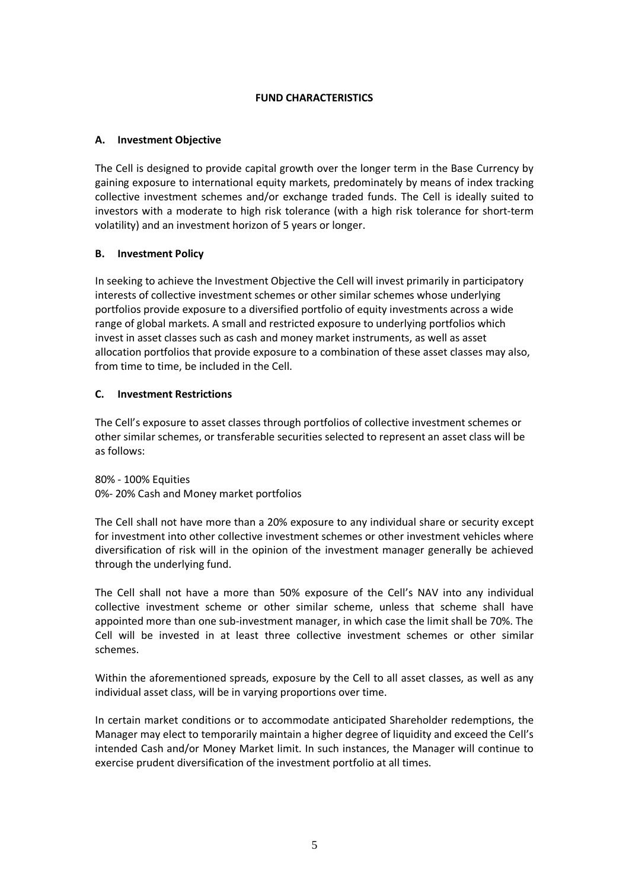## **FUND CHARACTERISTICS**

## **A. Investment Objective**

The Cell is designed to provide capital growth over the longer term in the Base Currency by gaining exposure to international equity markets, predominately by means of index tracking collective investment schemes and/or exchange traded funds. The Cell is ideally suited to investors with a moderate to high risk tolerance (with a high risk tolerance for short-term volatility) and an investment horizon of 5 years or longer.

## **B. Investment Policy**

In seeking to achieve the Investment Objective the Cell will invest primarily in participatory interests of collective investment schemes or other similar schemes whose underlying portfolios provide exposure to a diversified portfolio of equity investments across a wide range of global markets. A small and restricted exposure to underlying portfolios which invest in asset classes such as cash and money market instruments, as well as asset allocation portfolios that provide exposure to a combination of these asset classes may also, from time to time, be included in the Cell.

## **C. Investment Restrictions**

The Cell's exposure to asset classes through portfolios of collective investment schemes or other similar schemes, or transferable securities selected to represent an asset class will be as follows:

80% - 100% Equities 0%- 20% Cash and Money market portfolios

The Cell shall not have more than a 20% exposure to any individual share or security except for investment into other collective investment schemes or other investment vehicles where diversification of risk will in the opinion of the investment manager generally be achieved through the underlying fund.

The Cell shall not have a more than 50% exposure of the Cell's NAV into any individual collective investment scheme or other similar scheme, unless that scheme shall have appointed more than one sub-investment manager, in which case the limit shall be 70%. The Cell will be invested in at least three collective investment schemes or other similar schemes.

Within the aforementioned spreads, exposure by the Cell to all asset classes, as well as any individual asset class, will be in varying proportions over time.

In certain market conditions or to accommodate anticipated Shareholder redemptions, the Manager may elect to temporarily maintain a higher degree of liquidity and exceed the Cell's intended Cash and/or Money Market limit. In such instances, the Manager will continue to exercise prudent diversification of the investment portfolio at all times.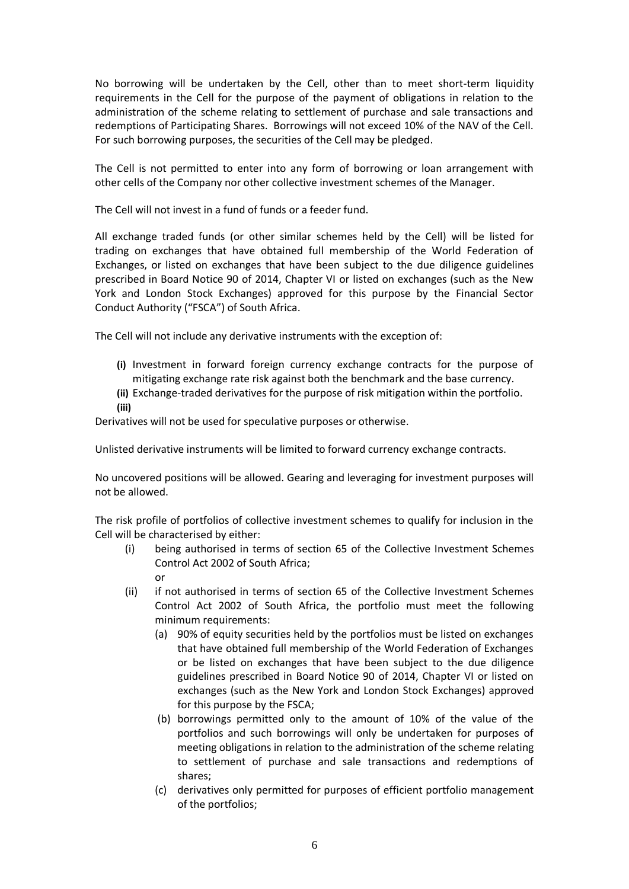No borrowing will be undertaken by the Cell, other than to meet short-term liquidity requirements in the Cell for the purpose of the payment of obligations in relation to the administration of the scheme relating to settlement of purchase and sale transactions and redemptions of Participating Shares. Borrowings will not exceed 10% of the NAV of the Cell. For such borrowing purposes, the securities of the Cell may be pledged.

The Cell is not permitted to enter into any form of borrowing or loan arrangement with other cells of the Company nor other collective investment schemes of the Manager.

The Cell will not invest in a fund of funds or a feeder fund.

All exchange traded funds (or other similar schemes held by the Cell) will be listed for trading on exchanges that have obtained full membership of the World Federation of Exchanges, or listed on exchanges that have been subject to the due diligence guidelines prescribed in Board Notice 90 of 2014, Chapter VI or listed on exchanges (such as the New York and London Stock Exchanges) approved for this purpose by the Financial Sector Conduct Authority ("FSCA") of South Africa.

The Cell will not include any derivative instruments with the exception of:

- **(i)** Investment in forward foreign currency exchange contracts for the purpose of mitigating exchange rate risk against both the benchmark and the base currency.
- **(ii)** Exchange-traded derivatives for the purpose of risk mitigation within the portfolio. **(iii)**

Derivatives will not be used for speculative purposes or otherwise.

Unlisted derivative instruments will be limited to forward currency exchange contracts.

No uncovered positions will be allowed. Gearing and leveraging for investment purposes will not be allowed.

The risk profile of portfolios of collective investment schemes to qualify for inclusion in the Cell will be characterised by either:

- (i) being authorised in terms of section 65 of the Collective Investment Schemes Control Act 2002 of South Africa; or
- (ii) if not authorised in terms of section 65 of the Collective Investment Schemes Control Act 2002 of South Africa, the portfolio must meet the following minimum requirements:
	- (a) 90% of equity securities held by the portfolios must be listed on exchanges that have obtained full membership of the World Federation of Exchanges or be listed on exchanges that have been subject to the due diligence guidelines prescribed in Board Notice 90 of 2014, Chapter VI or listed on exchanges (such as the New York and London Stock Exchanges) approved for this purpose by the FSCA;
	- (b) borrowings permitted only to the amount of 10% of the value of the portfolios and such borrowings will only be undertaken for purposes of meeting obligations in relation to the administration of the scheme relating to settlement of purchase and sale transactions and redemptions of shares;
	- (c) derivatives only permitted for purposes of efficient portfolio management of the portfolios;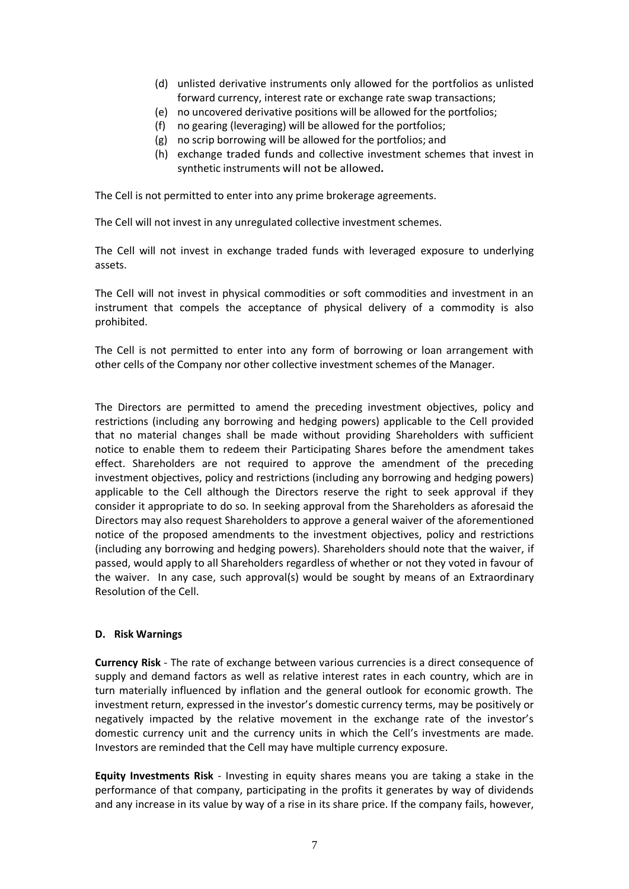- (d) unlisted derivative instruments only allowed for the portfolios as unlisted forward currency, interest rate or exchange rate swap transactions;
- (e) no uncovered derivative positions will be allowed for the portfolios;
- (f) no gearing (leveraging) will be allowed for the portfolios;
- (g) no scrip borrowing will be allowed for the portfolios; and
- (h) exchange traded funds and collective investment schemes that invest in synthetic instruments will not be allowed*.*

The Cell is not permitted to enter into any prime brokerage agreements.

The Cell will not invest in any unregulated collective investment schemes.

The Cell will not invest in exchange traded funds with leveraged exposure to underlying assets.

The Cell will not invest in physical commodities or soft commodities and investment in an instrument that compels the acceptance of physical delivery of a commodity is also prohibited.

The Cell is not permitted to enter into any form of borrowing or loan arrangement with other cells of the Company nor other collective investment schemes of the Manager.

The Directors are permitted to amend the preceding investment objectives, policy and restrictions (including any borrowing and hedging powers) applicable to the Cell provided that no material changes shall be made without providing Shareholders with sufficient notice to enable them to redeem their Participating Shares before the amendment takes effect. Shareholders are not required to approve the amendment of the preceding investment objectives, policy and restrictions (including any borrowing and hedging powers) applicable to the Cell although the Directors reserve the right to seek approval if they consider it appropriate to do so. In seeking approval from the Shareholders as aforesaid the Directors may also request Shareholders to approve a general waiver of the aforementioned notice of the proposed amendments to the investment objectives, policy and restrictions (including any borrowing and hedging powers). Shareholders should note that the waiver, if passed, would apply to all Shareholders regardless of whether or not they voted in favour of the waiver. In any case, such approval(s) would be sought by means of an Extraordinary Resolution of the Cell.

### **D. Risk Warnings**

**Currency Risk** - The rate of exchange between various currencies is a direct consequence of supply and demand factors as well as relative interest rates in each country, which are in turn materially influenced by inflation and the general outlook for economic growth. The investment return, expressed in the investor's domestic currency terms, may be positively or negatively impacted by the relative movement in the exchange rate of the investor's domestic currency unit and the currency units in which the Cell's investments are made. Investors are reminded that the Cell may have multiple currency exposure.

**Equity Investments Risk** - Investing in equity shares means you are taking a stake in the performance of that company, participating in the profits it generates by way of dividends and any increase in its value by way of a rise in its share price. If the company fails, however,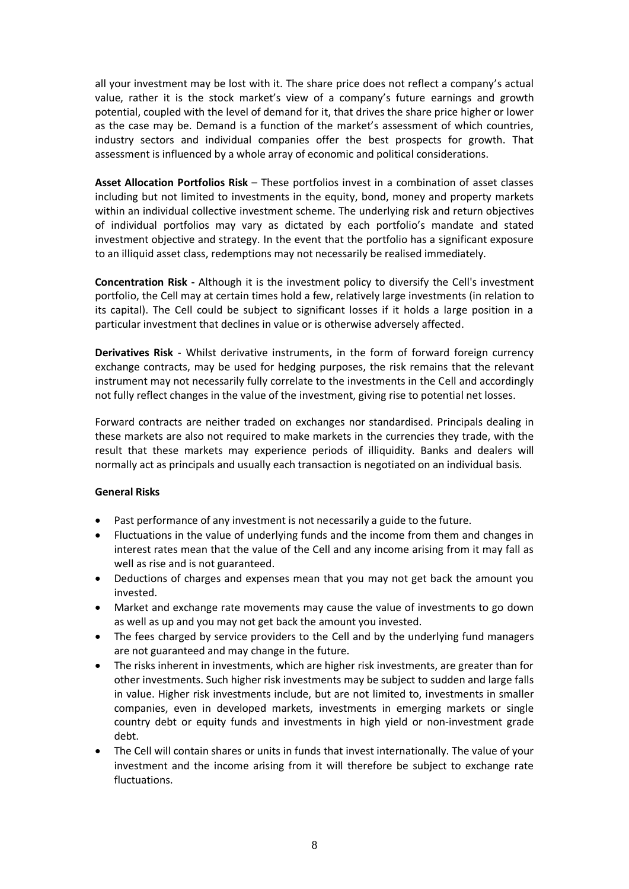all your investment may be lost with it. The share price does not reflect a company's actual value, rather it is the stock market's view of a company's future earnings and growth potential, coupled with the level of demand for it, that drives the share price higher or lower as the case may be. Demand is a function of the market's assessment of which countries, industry sectors and individual companies offer the best prospects for growth. That assessment is influenced by a whole array of economic and political considerations.

**Asset Allocation Portfolios Risk** – These portfolios invest in a combination of asset classes including but not limited to investments in the equity, bond, money and property markets within an individual collective investment scheme. The underlying risk and return objectives of individual portfolios may vary as dictated by each portfolio's mandate and stated investment objective and strategy. In the event that the portfolio has a significant exposure to an illiquid asset class, redemptions may not necessarily be realised immediately.

**Concentration Risk -** Although it is the investment policy to diversify the Cell's investment portfolio, the Cell may at certain times hold a few, relatively large investments (in relation to its capital). The Cell could be subject to significant losses if it holds a large position in a particular investment that declines in value or is otherwise adversely affected.

**Derivatives Risk** - Whilst derivative instruments, in the form of forward foreign currency exchange contracts, may be used for hedging purposes, the risk remains that the relevant instrument may not necessarily fully correlate to the investments in the Cell and accordingly not fully reflect changes in the value of the investment, giving rise to potential net losses.

Forward contracts are neither traded on exchanges nor standardised. Principals dealing in these markets are also not required to make markets in the currencies they trade, with the result that these markets may experience periods of illiquidity. Banks and dealers will normally act as principals and usually each transaction is negotiated on an individual basis.

### **General Risks**

- Past performance of any investment is not necessarily a guide to the future.
- Fluctuations in the value of underlying funds and the income from them and changes in interest rates mean that the value of the Cell and any income arising from it may fall as well as rise and is not guaranteed.
- Deductions of charges and expenses mean that you may not get back the amount you invested.
- Market and exchange rate movements may cause the value of investments to go down as well as up and you may not get back the amount you invested.
- The fees charged by service providers to the Cell and by the underlying fund managers are not guaranteed and may change in the future.
- The risks inherent in investments, which are higher risk investments, are greater than for other investments. Such higher risk investments may be subject to sudden and large falls in value. Higher risk investments include, but are not limited to, investments in smaller companies, even in developed markets, investments in emerging markets or single country debt or equity funds and investments in high yield or non-investment grade debt.
- The Cell will contain shares or units in funds that invest internationally. The value of your investment and the income arising from it will therefore be subject to exchange rate fluctuations.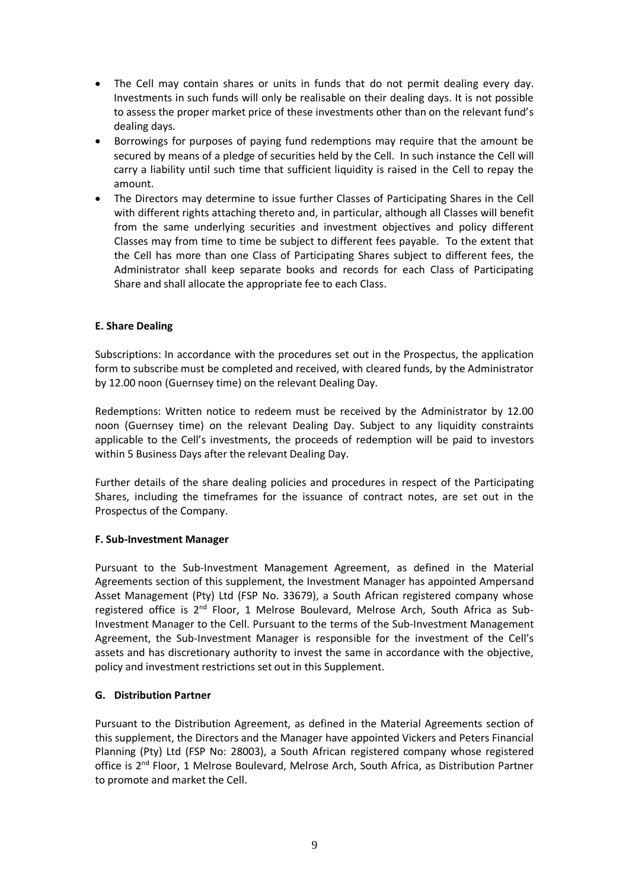- The Cell may contain shares or units in funds that do not permit dealing every day. Investments in such funds will only be realisable on their dealing days. It is not possible to assess the proper market price of these investments other than on the relevant fund's dealing days.
- Borrowings for purposes of paying fund redemptions may require that the amount be secured by means of a pledge of securities held by the Cell. In such instance the Cell will carry a liability until such time that sufficient liquidity is raised in the Cell to repay the amount.
- The Directors may determine to issue further Classes of Participating Shares in the Cell with different rights attaching thereto and, in particular, although all Classes will benefit from the same underlying securities and investment objectives and policy different Classes may from time to time be subject to different fees payable. To the extent that the Cell has more than one Class of Participating Shares subject to different fees, the Administrator shall keep separate books and records for each Class of Participating Share and shall allocate the appropriate fee to each Class.

## **E. Share Dealing**

Subscriptions: In accordance with the procedures set out in the Prospectus, the application form to subscribe must be completed and received, with cleared funds, by the Administrator by 12.00 noon (Guernsey time) on the relevant Dealing Day.

Redemptions: Written notice to redeem must be received by the Administrator by 12.00 noon (Guernsey time) on the relevant Dealing Day. Subject to any liquidity constraints applicable to the Cell's investments, the proceeds of redemption will be paid to investors within 5 Business Days after the relevant Dealing Day.

Further details of the share dealing policies and procedures in respect of the Participating Shares, including the timeframes for the issuance of contract notes, are set out in the Prospectus of the Company.

### **F. Sub-Investment Manager**

Pursuant to the Sub-Investment Management Agreement, as defined in the Material Agreements section of this supplement, the Investment Manager has appointed Ampersand Asset Management (Pty) Ltd (FSP No. 33679), a South African registered company whose registered office is 2<sup>nd</sup> Floor, 1 Melrose Boulevard, Melrose Arch, South Africa as Sub-Investment Manager to the Cell. Pursuant to the terms of the Sub-Investment Management Agreement, the Sub-Investment Manager is responsible for the investment of the Cell's assets and has discretionary authority to invest the same in accordance with the objective, policy and investment restrictions set out in this Supplement.

### **G. Distribution Partner**

Pursuant to the Distribution Agreement, as defined in the Material Agreements section of this supplement, the Directors and the Manager have appointed Vickers and Peters Financial Planning (Pty) Ltd (FSP No: 28003), a South African registered company whose registered office is 2<sup>nd</sup> Floor, 1 Melrose Boulevard, Melrose Arch, South Africa, as Distribution Partner to promote and market the Cell.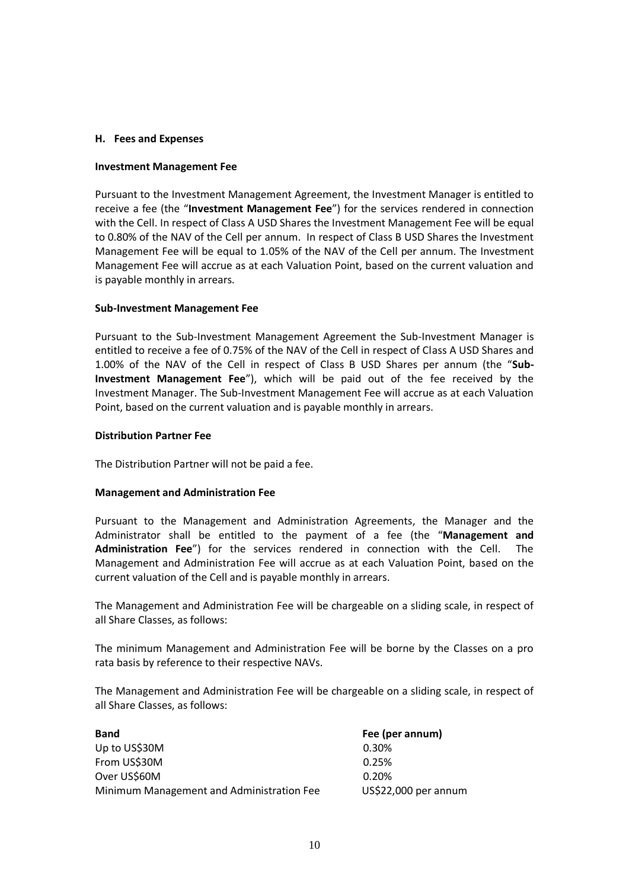#### **H. Fees and Expenses**

#### **Investment Management Fee**

Pursuant to the Investment Management Agreement, the Investment Manager is entitled to receive a fee (the "**Investment Management Fee**") for the services rendered in connection with the Cell. In respect of Class A USD Shares the Investment Management Fee will be equal to 0.80% of the NAV of the Cell per annum. In respect of Class B USD Shares the Investment Management Fee will be equal to 1.05% of the NAV of the Cell per annum. The Investment Management Fee will accrue as at each Valuation Point, based on the current valuation and is payable monthly in arrears.

#### **Sub-Investment Management Fee**

Pursuant to the Sub-Investment Management Agreement the Sub-Investment Manager is entitled to receive a fee of 0.75% of the NAV of the Cell in respect of Class A USD Shares and 1.00% of the NAV of the Cell in respect of Class B USD Shares per annum (the "**Sub-Investment Management Fee**"), which will be paid out of the fee received by the Investment Manager. The Sub-Investment Management Fee will accrue as at each Valuation Point, based on the current valuation and is payable monthly in arrears.

#### **Distribution Partner Fee**

The Distribution Partner will not be paid a fee.

### **Management and Administration Fee**

Pursuant to the Management and Administration Agreements, the Manager and the Administrator shall be entitled to the payment of a fee (the "**Management and Administration Fee**") for the services rendered in connection with the Cell. The Management and Administration Fee will accrue as at each Valuation Point, based on the current valuation of the Cell and is payable monthly in arrears.

The Management and Administration Fee will be chargeable on a sliding scale, in respect of all Share Classes, as follows:

The minimum Management and Administration Fee will be borne by the Classes on a pro rata basis by reference to their respective NAVs.

The Management and Administration Fee will be chargeable on a sliding scale, in respect of all Share Classes, as follows:

| <b>Band</b>                               | Fee (per annum)      |
|-------------------------------------------|----------------------|
| Up to US\$30M                             | 0.30%                |
| From US\$30M                              | 0.25%                |
| Over US\$60M                              | 0.20%                |
| Minimum Management and Administration Fee | US\$22,000 per annum |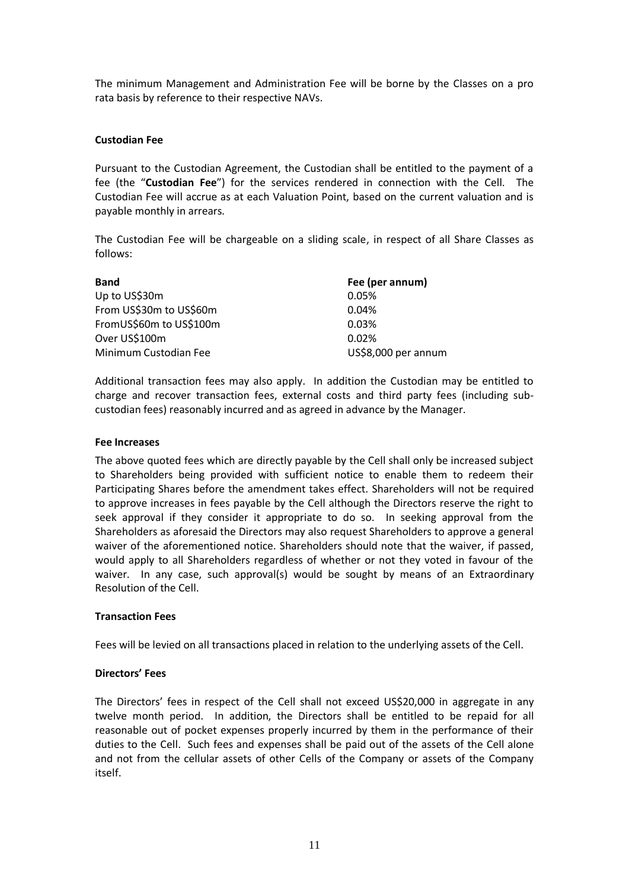The minimum Management and Administration Fee will be borne by the Classes on a pro rata basis by reference to their respective NAVs.

#### **Custodian Fee**

Pursuant to the Custodian Agreement, the Custodian shall be entitled to the payment of a fee (the "**Custodian Fee**") for the services rendered in connection with the Cell. The Custodian Fee will accrue as at each Valuation Point, based on the current valuation and is payable monthly in arrears.

The Custodian Fee will be chargeable on a sliding scale, in respect of all Share Classes as follows:

| <b>Band</b>             | Fee (per annum)     |
|-------------------------|---------------------|
| Up to US\$30m           | 0.05%               |
| From US\$30m to US\$60m | 0.04%               |
| FromUS\$60m to US\$100m | 0.03%               |
| Over US\$100m           | 0.02%               |
| Minimum Custodian Fee   | US\$8,000 per annum |

Additional transaction fees may also apply. In addition the Custodian may be entitled to charge and recover transaction fees, external costs and third party fees (including subcustodian fees) reasonably incurred and as agreed in advance by the Manager.

#### **Fee Increases**

The above quoted fees which are directly payable by the Cell shall only be increased subject to Shareholders being provided with sufficient notice to enable them to redeem their Participating Shares before the amendment takes effect. Shareholders will not be required to approve increases in fees payable by the Cell although the Directors reserve the right to seek approval if they consider it appropriate to do so. In seeking approval from the Shareholders as aforesaid the Directors may also request Shareholders to approve a general waiver of the aforementioned notice. Shareholders should note that the waiver, if passed, would apply to all Shareholders regardless of whether or not they voted in favour of the waiver. In any case, such approval(s) would be sought by means of an Extraordinary Resolution of the Cell.

#### **Transaction Fees**

Fees will be levied on all transactions placed in relation to the underlying assets of the Cell.

#### **Directors' Fees**

The Directors' fees in respect of the Cell shall not exceed US\$20,000 in aggregate in any twelve month period. In addition, the Directors shall be entitled to be repaid for all reasonable out of pocket expenses properly incurred by them in the performance of their duties to the Cell. Such fees and expenses shall be paid out of the assets of the Cell alone and not from the cellular assets of other Cells of the Company or assets of the Company itself.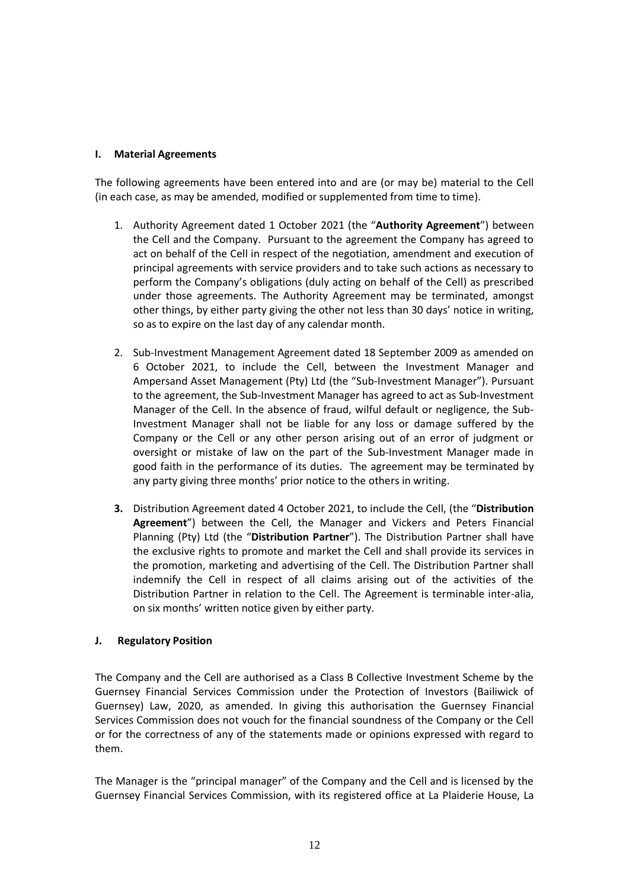## **I. Material Agreements**

The following agreements have been entered into and are (or may be) material to the Cell (in each case, as may be amended, modified or supplemented from time to time).

- 1. Authority Agreement dated 1 October 2021 (the "**Authority Agreement**") between the Cell and the Company. Pursuant to the agreement the Company has agreed to act on behalf of the Cell in respect of the negotiation, amendment and execution of principal agreements with service providers and to take such actions as necessary to perform the Company's obligations (duly acting on behalf of the Cell) as prescribed under those agreements. The Authority Agreement may be terminated, amongst other things, by either party giving the other not less than 30 days' notice in writing, so as to expire on the last day of any calendar month.
- 2. Sub-Investment Management Agreement dated 18 September 2009 as amended on 6 October 2021, to include the Cell, between the Investment Manager and Ampersand Asset Management (Pty) Ltd (the "Sub-Investment Manager"). Pursuant to the agreement, the Sub-Investment Manager has agreed to act as Sub-Investment Manager of the Cell. In the absence of fraud, wilful default or negligence, the Sub-Investment Manager shall not be liable for any loss or damage suffered by the Company or the Cell or any other person arising out of an error of judgment or oversight or mistake of law on the part of the Sub-Investment Manager made in good faith in the performance of its duties. The agreement may be terminated by any party giving three months' prior notice to the others in writing.
- **3.** Distribution Agreement dated 4 October 2021, to include the Cell, (the "**Distribution Agreement**") between the Cell, the Manager and Vickers and Peters Financial Planning (Pty) Ltd (the "**Distribution Partner**"). The Distribution Partner shall have the exclusive rights to promote and market the Cell and shall provide its services in the promotion, marketing and advertising of the Cell. The Distribution Partner shall indemnify the Cell in respect of all claims arising out of the activities of the Distribution Partner in relation to the Cell. The Agreement is terminable inter-alia, on six months' written notice given by either party.

## **J. Regulatory Position**

The Company and the Cell are authorised as a Class B Collective Investment Scheme by the Guernsey Financial Services Commission under the Protection of Investors (Bailiwick of Guernsey) Law, 2020, as amended. In giving this authorisation the Guernsey Financial Services Commission does not vouch for the financial soundness of the Company or the Cell or for the correctness of any of the statements made or opinions expressed with regard to them.

The Manager is the "principal manager" of the Company and the Cell and is licensed by the Guernsey Financial Services Commission, with its registered office at La Plaiderie House, La